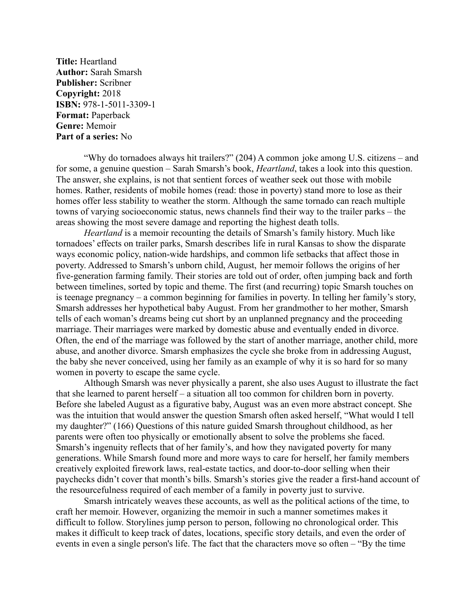**Title:** Heartland **Author:** Sarah Smarsh **Publisher:** Scribner **Copyright:** 2018 **ISBN:** 978-1-5011-3309-1 **Format:** Paperback **Genre:** Memoir **Part of a series:** No

"Why do tornadoes always hit trailers?" (204) A common joke among U.S. citizens – and for some, a genuine question – Sarah Smarsh's book, *Heartland*, takes a look into this question. The answer, she explains, is not that sentient forces of weather seek out those with mobile homes. Rather, residents of mobile homes (read: those in poverty) stand more to lose as their homes offer less stability to weather the storm. Although the same tornado can reach multiple towns of varying socioeconomic status, news channels find their way to the trailer parks – the areas showing the most severe damage and reporting the highest death tolls.

*Heartland* is a memoir recounting the details of Smarsh's family history. Much like tornadoes' effects on trailer parks, Smarsh describes life in rural Kansas to show the disparate ways economic policy, nation-wide hardships, and common life setbacks that affect those in poverty. Addressed to Smarsh's unborn child, August, her memoir follows the origins of her five-generation farming family. Their stories are told out of order, often jumping back and forth between timelines, sorted by topic and theme. The first (and recurring) topic Smarsh touches on is teenage pregnancy – a common beginning for families in poverty. In telling her family's story, Smarsh addresses her hypothetical baby August. From her grandmother to her mother, Smarsh tells of each woman's dreams being cut short by an unplanned pregnancy and the proceeding marriage. Their marriages were marked by domestic abuse and eventually ended in divorce. Often, the end of the marriage was followed by the start of another marriage, another child, more abuse, and another divorce. Smarsh emphasizes the cycle she broke from in addressing August, the baby she never conceived, using her family as an example of why it is so hard for so many women in poverty to escape the same cycle.

Although Smarsh was never physically a parent, she also uses August to illustrate the fact that she learned to parent herself – a situation all too common for children born in poverty. Before she labeled August as a figurative baby, August was an even more abstract concept. She was the intuition that would answer the question Smarsh often asked herself, "What would I tell my daughter?" (166) Questions of this nature guided Smarsh throughout childhood, as her parents were often too physically or emotionally absent to solve the problems she faced. Smarsh's ingenuity reflects that of her family's, and how they navigated poverty for many generations. While Smarsh found more and more ways to care for herself, her family members creatively exploited firework laws, real-estate tactics, and door-to-door selling when their paychecks didn't cover that month's bills. Smarsh's stories give the reader a first-hand account of the resourcefulness required of each member of a family in poverty just to survive.

Smarsh intricately weaves these accounts, as well as the political actions of the time, to craft her memoir. However, organizing the memoir in such a manner sometimes makes it difficult to follow. Storylines jump person to person, following no chronological order. This makes it difficult to keep track of dates, locations, specific story details, and even the order of events in even a single person's life. The fact that the characters move so often – "By the time